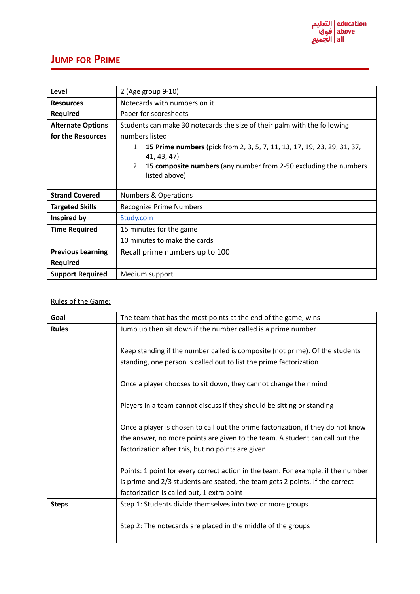

## **JUMP FOR PRIME**

| Level                    | 2 (Age group 9-10)                                                                           |
|--------------------------|----------------------------------------------------------------------------------------------|
| <b>Resources</b>         | Notecards with numbers on it                                                                 |
| <b>Required</b>          | Paper for scoresheets                                                                        |
| <b>Alternate Options</b> | Students can make 30 notecards the size of their palm with the following                     |
| for the Resources        | numbers listed:                                                                              |
|                          | 15 Prime numbers (pick from 2, 3, 5, 7, 11, 13, 17, 19, 23, 29, 31, 37,<br>1.<br>41, 43, 47) |
|                          | 15 composite numbers (any number from 2-50 excluding the numbers<br>2.<br>listed above)      |
| <b>Strand Covered</b>    | <b>Numbers &amp; Operations</b>                                                              |
| <b>Targeted Skills</b>   | Recognize Prime Numbers                                                                      |
| Inspired by              | Study.com                                                                                    |
| <b>Time Required</b>     | 15 minutes for the game                                                                      |
|                          | 10 minutes to make the cards                                                                 |
| <b>Previous Learning</b> | Recall prime numbers up to 100                                                               |
| <b>Required</b>          |                                                                                              |
| <b>Support Required</b>  | Medium support                                                                               |

## Rules of the Game:

| Goal         | The team that has the most points at the end of the game, wins                                                                                                                                                         |
|--------------|------------------------------------------------------------------------------------------------------------------------------------------------------------------------------------------------------------------------|
| <b>Rules</b> | Jump up then sit down if the number called is a prime number                                                                                                                                                           |
|              | Keep standing if the number called is composite (not prime). Of the students<br>standing, one person is called out to list the prime factorization                                                                     |
|              | Once a player chooses to sit down, they cannot change their mind                                                                                                                                                       |
|              | Players in a team cannot discuss if they should be sitting or standing                                                                                                                                                 |
|              | Once a player is chosen to call out the prime factorization, if they do not know<br>the answer, no more points are given to the team. A student can call out the<br>factorization after this, but no points are given. |
|              | Points: 1 point for every correct action in the team. For example, if the number<br>is prime and 2/3 students are seated, the team gets 2 points. If the correct<br>factorization is called out, 1 extra point         |
| <b>Steps</b> | Step 1: Students divide themselves into two or more groups                                                                                                                                                             |
|              | Step 2: The notecards are placed in the middle of the groups                                                                                                                                                           |